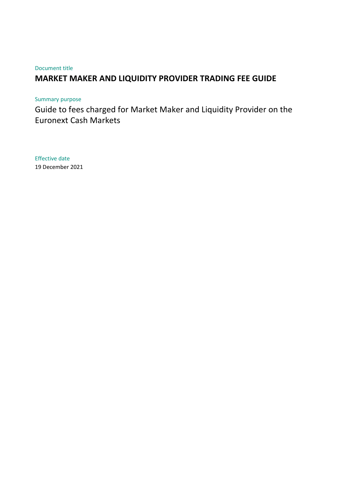#### Document title

# **MARKET MAKER AND LIQUIDITY PROVIDER TRADING FEE GUIDE**

### Summary purpose

Guide to fees charged for Market Maker and Liquidity Provider on the Euronext Cash Markets

Effective date 19 December 2021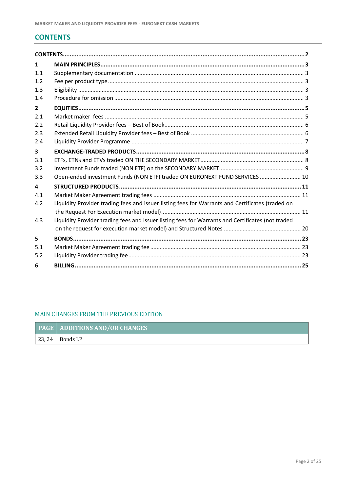# <span id="page-1-0"></span>**CONTENTS**

| $\mathbf{1}$   |                                                                                                   |  |
|----------------|---------------------------------------------------------------------------------------------------|--|
| 1.1            |                                                                                                   |  |
| 1.2            |                                                                                                   |  |
| 1.3            |                                                                                                   |  |
| 1.4            |                                                                                                   |  |
| $\overline{2}$ |                                                                                                   |  |
| 2.1            |                                                                                                   |  |
| 2.2            |                                                                                                   |  |
| 2.3            |                                                                                                   |  |
| 2.4            |                                                                                                   |  |
| 3              |                                                                                                   |  |
| 3.1            |                                                                                                   |  |
| 3.2            |                                                                                                   |  |
| 3.3            | Open-ended investment Funds (NON ETF) traded ON EURONEXT FUND SERVICES  10                        |  |
| 4              |                                                                                                   |  |
| 4.1            |                                                                                                   |  |
| 4.2            | Liquidity Provider trading fees and issuer listing fees for Warrants and Certificates (traded on  |  |
|                |                                                                                                   |  |
| 4.3            | Liquidity Provider trading fees and issuer listing fees for Warrants and Certificates (not traded |  |
|                |                                                                                                   |  |
| 5              |                                                                                                   |  |
| 5.1            |                                                                                                   |  |
| 5.2            |                                                                                                   |  |
| 6              |                                                                                                   |  |

### MAIN CHANGES FROM THE PREVIOUS EDITION

|        | <b>PAGE ADDITIONS AND/OR CHANGES</b> |
|--------|--------------------------------------|
| 123.24 | Bonds LP                             |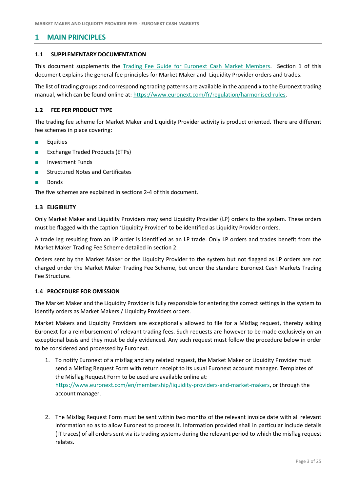### <span id="page-2-0"></span>**1 MAIN PRINCIPLES**

#### <span id="page-2-1"></span>**1.1 SUPPLEMENTARY DOCUMENTATION**

This document supplements the [Trading Fee Guide for Euronext Cash Market Members.](https://www.euronext.com/trading-fees-charges) Section 1 of this document explains the general fee principles for Market Maker and Liquidity Provider orders and trades.

The list of trading groups and corresponding trading patterns are available in the appendix to the Euronext trading manual, which can be found online at: [https://www.euronext.com/fr/regulation/harmonised-rules.](https://www.euronext.com/fr/regulation/harmonised-rules)

#### <span id="page-2-2"></span>**1.2 FEE PER PRODUCT TYPE**

The trading fee scheme for Market Maker and Liquidity Provider activity is product oriented. There are different fee schemes in place covering:

- **Equities**
- **Exchange Traded Products (ETPs)**
- Investment Funds
- **Structured Notes and Certificates**
- Bonds

The five schemes are explained in sections 2-4 of this document.

#### <span id="page-2-3"></span>**1.3 ELIGIBILITY**

Only Market Maker and Liquidity Providers may send Liquidity Provider (LP) orders to the system. These orders must be flagged with the caption 'Liquidity Provider' to be identified as Liquidity Provider orders.

A trade leg resulting from an LP order is identified as an LP trade. Only LP orders and trades benefit from the Market Maker Trading Fee Scheme detailed in section 2.

Orders sent by the Market Maker or the Liquidity Provider to the system but not flagged as LP orders are not charged under the Market Maker Trading Fee Scheme, but under the standard Euronext Cash Markets Trading Fee Structure.

#### <span id="page-2-4"></span>**1.4 PROCEDURE FOR OMISSION**

The Market Maker and the Liquidity Provider is fully responsible for entering the correct settings in the system to identify orders as Market Makers / Liquidity Providers orders.

Market Makers and Liquidity Providers are exceptionally allowed to file for a Misflag request, thereby asking Euronext for a reimbursement of relevant trading fees. Such requests are however to be made exclusively on an exceptional basis and they must be duly evidenced. Any such request must follow the procedure below in order to be considered and processed by Euronext.

- 1. To notify Euronext of a misflag and any related request, the Market Maker or Liquidity Provider must send a Misflag Request Form with return receipt to its usual Euronext account manager. Templates of the Misflag Request Form to be used are available online at: [https://www.euronext.com/en/membership/liquidity-providers-and-market-makers,](https://www.euronext.com/en/membership/liquidity-providers-and-market-makers) or through the account manager.
- 2. The Misflag Request Form must be sent within two months of the relevant invoice date with all relevant information so as to allow Euronext to process it. Information provided shall in particular include details (IT traces) of all orders sent via its trading systems during the relevant period to which the misflag request relates.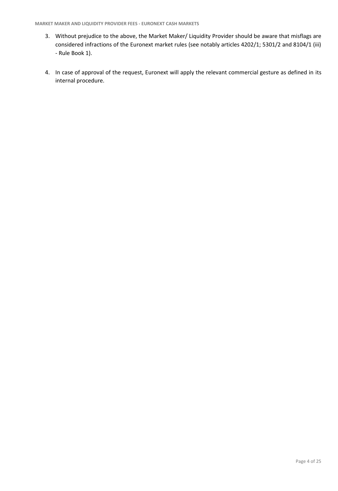- 3. Without prejudice to the above, the Market Maker/ Liquidity Provider should be aware that misflags are considered infractions of the Euronext market rules (see notably articles 4202/1; 5301/2 and 8104/1 (iii) - Rule Book 1).
- 4. In case of approval of the request, Euronext will apply the relevant commercial gesture as defined in its internal procedure.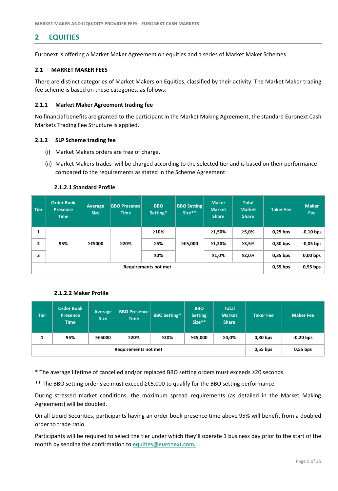# <span id="page-4-0"></span>**2 EQUITIES**

Euronext is offering a Market Maker Agreement on equities and a series of Market Maker Schemes.

#### <span id="page-4-1"></span>**2.1 MARKET MAKER FEES**

There are distinct categories of Market Makers on Equities, classified by their activity. The Market Maker trading fee scheme is based on these categories, as follows:

#### **2.1.1 Market Maker Agreement trading fee**

No financial benefits are granted to the participant in the Market Making Agreement, the standard Euronext Cash Markets Trading Fee Structure is applied.

#### **2.1.2 SLP Scheme trading fee**

- (i) Market Makers orders are free of charge.
- (ii) Market Makers trades will be charged according to the selected tier and is based on their performance compared to the requirements as stated in the Scheme Agreement.

| <b>Tier</b>                 | <b>Order Book</b><br><b>Presence</b><br><b>Time</b> | <b>Average</b><br><b>Size</b> | <b>BBO Presence</b><br><b>Time</b> | <b>BBO</b><br>Setting* | <b>BBO Setting</b><br>Size** | <b>Maker</b><br><b>Market</b><br><b>Share</b> | <b>Total</b><br><b>Market</b><br><b>Share</b> | Taker Fee  | <b>Maker</b><br>Fee |
|-----------------------------|-----------------------------------------------------|-------------------------------|------------------------------------|------------------------|------------------------------|-----------------------------------------------|-----------------------------------------------|------------|---------------------|
| 1                           |                                                     |                               |                                    | ≥10%                   |                              | ≥1,50%                                        | ≥5,0%                                         | $0.25$ bps | $-0,10$ bps         |
| $\mathbf{2}$                | 95%                                                 | ≥€5000                        | 220%                               | ≥5%                    | ≥€5,000                      | ≥1,20%                                        | ≥3,5%                                         | $0,30$ bps | $-0,05$ bps         |
| 3                           |                                                     |                               |                                    | $\geq 0\%$             |                              | $\geq 1.0\%$                                  | ≥2,0%                                         | $0.35$ bps | $0,00$ bps          |
| <b>Requirements not met</b> |                                                     |                               |                                    |                        |                              |                                               | $0,55$ bps                                    | $0,55$ bps |                     |

#### **2.1.2.1 Standard Profile**

#### **2.1.2.2 Maker Profile**

| Tier <sup>1</sup> | <b>Order Book</b><br><b>Presence</b><br><b>Time</b> | Average<br><b>Size</b> | <b>BBO Presence</b><br><b>Time</b> | <b>BBO Setting*</b> | <b>BBO</b><br><b>Setting</b><br>Size** | <b>Total</b><br><b>Market</b><br><b>Share</b> | Taker Fee  | <b>Maker Fee</b> |
|-------------------|-----------------------------------------------------|------------------------|------------------------------------|---------------------|----------------------------------------|-----------------------------------------------|------------|------------------|
| л.                | 95%                                                 | ≥€5000                 | >20%                               | ≥20%                | ≥€5,000                                | ≥4,0%                                         | $0,30$ bps | $-0,20$ bps      |
|                   | <b>Requirements not met</b>                         |                        |                                    |                     |                                        |                                               | $0,55$ bps | $0,55$ bps       |

\* The average lifetime of cancelled and/or replaced BBO setting orders must exceeds ≥20 seconds.

\*\* The BBO setting order size must exceed ≥€5,000 to qualify for the BBO setting performance

During stressed market conditions, the maximum spread requirements (as detailed in the Market Making Agreement) will be doubled.

On all Liquid Securities, participants having an order book presence time above 95% will benefit from a doubled order to trade ratio.

Participants will be required to select the tier under which they'll operate 1 business day prior to the start of the month by sending the confirmation to [equities@euronext.com](mailto:equities@euronext.com)**.**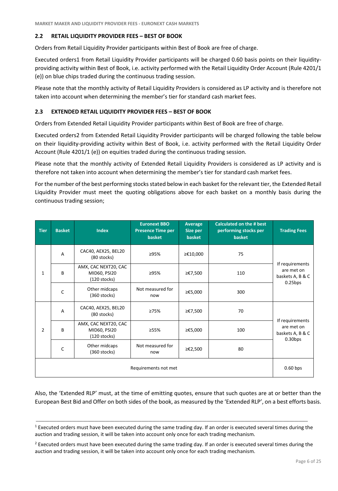### <span id="page-5-0"></span>**2.2 RETAIL LIQUIDITY PROVIDER FEES – BEST OF BOOK**

Orders from Retail Liquidity Provider participants within Best of Book are free of charge.

Executed orders1 from Retail Liquidity Provider participants will be charged 0.60 basis points on their liquidityproviding activity within Best of Book, i.e. activity performed with the Retail Liquidity Order Account (Rule 4201/1 (e)) on blue chips traded during the continuous trading session.

Please note that the monthly activity of Retail Liquidity Providers is considered as LP activity and is therefore not taken into account when determining the member's tier for standard cash market fees.

#### <span id="page-5-1"></span>**2.3 EXTENDED RETAIL LIQUIDITY PROVIDER FEES – BEST OF BOOK**

Orders from Extended Retail Liquidity Provider participants within Best of Book are free of charge.

Executed orders2 from Extended Retail Liquidity Provider participants will be charged following the table below on their liquidity-providing activity within Best of Book, i.e. activity performed with the Retail Liquidity Order Account (Rule 4201/1 (e)) on equities traded during the continuous trading session.

Please note that the monthly activity of Extended Retail Liquidity Providers is considered as LP activity and is therefore not taken into account when determining the member's tier for standard cash market fees.

For the number of the best performing stocks stated below in each basket for the relevant tier, the Extended Retail Liquidity Provider must meet the quoting obligations above for each basket on a monthly basis during the continuous trading session;

| <b>Tier</b>          | <b>Basket</b>  | <b>Index</b>                                           | <b>Euronext BBO</b><br><b>Presence Time per</b><br>basket | Average<br>Size per<br>basket | <b>Calculated on the # best</b><br>performing stocks per<br>basket | <b>Trading Fees</b>                               |  |
|----------------------|----------------|--------------------------------------------------------|-----------------------------------------------------------|-------------------------------|--------------------------------------------------------------------|---------------------------------------------------|--|
| 1                    | $\overline{A}$ | CAC40, AEX25, BEL20<br>(80 stocks)                     | ≥95%                                                      | ≥€10,000                      | 75                                                                 |                                                   |  |
|                      | B              | AMX, CAC NEXT20, CAC<br>MID60, PSI20<br>$(120$ stocks) | ≥95%                                                      | ≥€7,500                       | 110                                                                | If requirements<br>are met on<br>baskets A, B & C |  |
|                      | $\mathsf{C}$   | Other midcaps<br>$(360$ stocks)                        | Not measured for<br>now                                   | ≥€5,000                       | 300                                                                | $0.25$ bps                                        |  |
| $\overline{2}$       | $\overline{A}$ | CAC40, AEX25, BEL20<br>(80 stocks)                     | ≥75%                                                      | ≥€7,500                       | 70                                                                 |                                                   |  |
|                      | B              | AMX, CAC NEXT20, CAC<br>MID60, PSI20<br>$(120$ stocks) | ≥55%                                                      | ≥€5,000                       | 100                                                                | If requirements<br>are met on<br>baskets A, B & C |  |
|                      | $\mathsf{C}$   | Other midcaps<br>$(360$ stocks)                        | Not measured for<br>now                                   | ≥€2,500                       | 80                                                                 | $0.30$ bps                                        |  |
| Requirements not met |                |                                                        |                                                           |                               |                                                                    |                                                   |  |

Also, the 'Extended RLP' must, at the time of emitting quotes, ensure that such quotes are at or better than the European Best Bid and Offer on both sides of the book, as measured by the 'Extended RLP', on a best efforts basis.

 $1$  Executed orders must have been executed during the same trading day. If an order is executed several times during the auction and trading session, it will be taken into account only once for each trading mechanism.

<sup>&</sup>lt;sup>2</sup> Executed orders must have been executed during the same trading day. If an order is executed several times during the auction and trading session, it will be taken into account only once for each trading mechanism.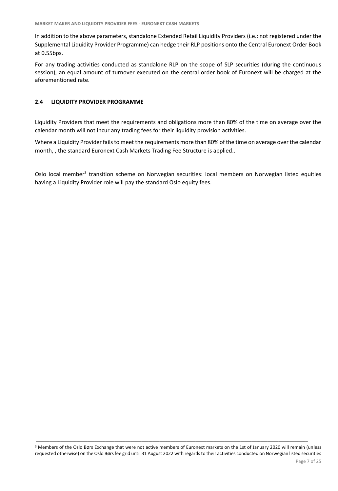In addition to the above parameters, standalone Extended Retail Liquidity Providers (i.e.: not registered under the Supplemental Liquidity Provider Programme) can hedge their RLP positions onto the Central Euronext Order Book at 0.55bps.

For any trading activities conducted as standalone RLP on the scope of SLP securities (during the continuous session), an equal amount of turnover executed on the central order book of Euronext will be charged at the aforementioned rate.

#### <span id="page-6-0"></span>**2.4 LIQUIDITY PROVIDER PROGRAMME**

Liquidity Providers that meet the requirements and obligations more than 80% of the time on average over the calendar month will not incur any trading fees for their liquidity provision activities.

Where a Liquidity Provider fails to meet the requirements more than 80% of the time on average over the calendar month, , the standard Euronext Cash Markets Trading Fee Structure is applied..

Oslo local member<sup>3</sup> transition scheme on Norwegian securities: local members on Norwegian listed equities having a Liquidity Provider role will pay the standard Oslo equity fees.

<sup>&</sup>lt;sup>3</sup> Members of the Oslo Børs Exchange that were not active members of Euronext markets on the 1st of January 2020 will remain (unless requested otherwise) on the Oslo Børs fee grid until 31 August 2022 with regards to their activities conducted on Norwegian listed securities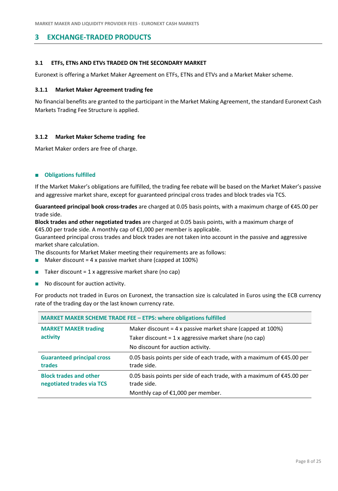# <span id="page-7-0"></span>**3 EXCHANGE-TRADED PRODUCTS**

#### <span id="page-7-1"></span>**3.1 ETFS, ETNS AND ETVS TRADED ON THE SECONDARY MARKET**

Euronext is offering a Market Maker Agreement on ETFs, ETNs and ETVs and a Market Maker scheme.

#### **3.1.1 Market Maker Agreement trading fee**

No financial benefits are granted to the participant in the Market Making Agreement, the standard Euronext Cash Markets Trading Fee Structure is applied.

#### **3.1.2 Market Maker Scheme trading fee**

Market Maker orders are free of charge.

#### ■ **Obligations fulfilled**

If the Market Maker's obligations are fulfilled, the trading fee rebate will be based on the Market Maker's passive and aggressive market share, except for guaranteed principal cross trades and block trades via TCS.

**Guaranteed principal book cross-trades** are charged at 0.05 basis points, with a maximum charge of €45.00 per trade side.

**Block trades and other negotiated trades** are charged at 0.05 basis points, with a maximum charge of €45.00 per trade side. A monthly cap of €1,000 per member is applicable.

Guaranteed principal cross trades and block trades are not taken into account in the passive and aggressive market share calculation.

The discounts for Market Maker meeting their requirements are as follows:

- $\blacksquare$  Maker discount = 4 x passive market share (capped at 100%)
- Taker discount = 1 x aggressive market share (no cap)
- No discount for auction activity.

For products not traded in Euros on Euronext, the transaction size is calculated in Euros using the ECB currency rate of the trading day or the last known currency rate.

| <b>MARKET MAKER SCHEME TRADE FEE - ETPS: where obligations fulfilled</b>                                                                                                                                     |                                                                                                                                      |  |  |  |
|--------------------------------------------------------------------------------------------------------------------------------------------------------------------------------------------------------------|--------------------------------------------------------------------------------------------------------------------------------------|--|--|--|
| <b>MARKET MAKER trading</b><br>Maker discount = $4 \times$ passive market share (capped at 100%)<br>activity<br>Taker discount = $1 x$ aggressive market share (no cap)<br>No discount for auction activity. |                                                                                                                                      |  |  |  |
| <b>Guaranteed principal cross</b><br>trades                                                                                                                                                                  | 0.05 basis points per side of each trade, with a maximum of $\epsilon$ 45.00 per<br>trade side.                                      |  |  |  |
| <b>Block trades and other</b><br>negotiated trades via TCS                                                                                                                                                   | 0.05 basis points per side of each trade, with a maximum of $\epsilon$ 45.00 per<br>trade side.<br>Monthly cap of €1,000 per member. |  |  |  |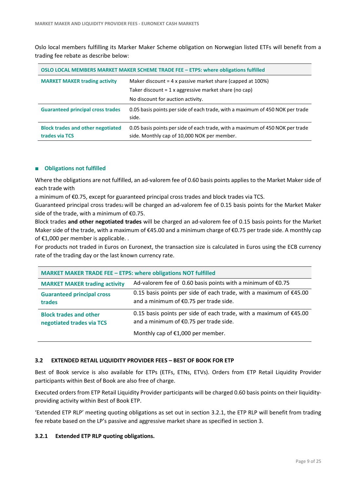Oslo local members fulfilling its Marker Maker Scheme obligation on Norwegian listed ETFs will benefit from a trading fee rebate as describe below:

| OSLO LOCAL MEMBERS MARKET MAKER SCHEME TRADE FEE - ETPS: where obligations fulfilled                      |                                                                                                                              |  |  |  |
|-----------------------------------------------------------------------------------------------------------|------------------------------------------------------------------------------------------------------------------------------|--|--|--|
| <b>MARKET MAKER trading activity</b><br>Maker discount = $4 \times$ passive market share (capped at 100%) |                                                                                                                              |  |  |  |
|                                                                                                           | Taker discount $= 1x$ aggressive market share (no cap)                                                                       |  |  |  |
|                                                                                                           | No discount for auction activity.                                                                                            |  |  |  |
| <b>Guaranteed principal cross trades</b>                                                                  | 0.05 basis points per side of each trade, with a maximum of 450 NOK per trade<br>side.                                       |  |  |  |
| <b>Block trades and other negotiated</b><br>trades via TCS                                                | 0.05 basis points per side of each trade, with a maximum of 450 NOK per trade<br>side. Monthly cap of 10,000 NOK per member. |  |  |  |

#### ■ **Obligations not fulfilled**

Where the obligations are not fulfilled, an ad-valorem fee of 0.60 basis points applies to the Market Maker side of each trade with

a minimum of €0.75, except for guaranteed principal cross trades and block trades via TCS.

Guaranteed principal cross trades2 will be charged an ad-valorem fee of 0.15 basis points for the Market Maker side of the trade, with a minimum of  $E$ 0.75.

Block trades **and other negotiated trades** will be charged an ad-valorem fee of 0.15 basis points for the Market Maker side of the trade, with a maximum of €45.00 and a minimum charge of €0.75 per trade side. A monthly cap of €1,000 per member is applicable. .

For products not traded in Euros on Euronext, the transaction size is calculated in Euros using the ECB currency rate of the trading day or the last known currency rate.

| <b>MARKET MAKER TRADE FEE - ETPS: where obligations NOT fulfilled</b> |                                                                                                                |  |  |  |
|-----------------------------------------------------------------------|----------------------------------------------------------------------------------------------------------------|--|--|--|
| <b>MARKET MAKER trading activity</b>                                  | Ad-valorem fee of 0.60 basis points with a minimum of $\epsilon$ 0.75                                          |  |  |  |
| <b>Guaranteed principal cross</b><br>trades                           | 0.15 basis points per side of each trade, with a maximum of $£45.00$<br>and a minimum of €0.75 per trade side. |  |  |  |
| <b>Block trades and other</b><br>negotiated trades via TCS            | 0.15 basis points per side of each trade, with a maximum of $£45.00$<br>and a minimum of €0.75 per trade side. |  |  |  |
|                                                                       | Monthly cap of €1,000 per member.                                                                              |  |  |  |

#### **3.2 EXTENDED RETAIL LIQUIDITY PROVIDER FEES – BEST OF BOOK FOR ETP**

Best of Book service is also available for ETPs (ETFs, ETNs, ETVs). Orders from ETP Retail Liquidity Provider participants within Best of Book are also free of charge.

Executed orders from ETP Retail Liquidity Provider participants will be charged 0.60 basis points on their liquidityproviding activity within Best of Book ETP.

'Extended ETP RLP' meeting quoting obligations as set out in section 3.2.1, the ETP RLP will benefit from trading fee rebate based on the LP's passive and aggressive market share as specified in section 3.

#### **3.2.1 Extended ETP RLP quoting obligations.**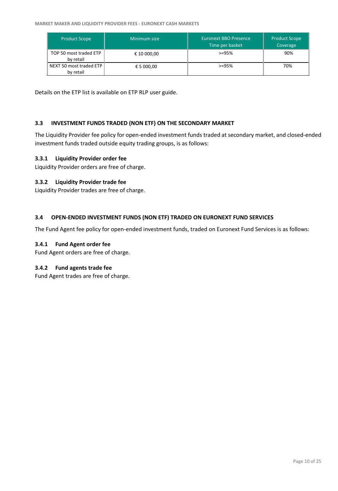| <b>Product Scope</b>                 | Minimum size | Euronext BBO Presence<br>Time per basket | <b>Product Scope</b><br>Coverage |
|--------------------------------------|--------------|------------------------------------------|----------------------------------|
| TOP 50 most traded ETP<br>by retail  | € 10 000,00  | $> = 95%$                                | 90%                              |
| NEXT 50 most traded ETP<br>by retail | € 5 000,00   | $> = 95%$                                | 70%                              |

Details on the ETP list is available on ETP RLP user guide.

#### <span id="page-9-0"></span>**3.3 INVESTMENT FUNDS TRADED (NON ETF) ON THE SECONDARY MARKET**

The Liquidity Provider fee policy for open-ended investment funds traded at secondary market, and closed-ended investment funds traded outside equity trading groups, is as follows:

#### **3.3.1 Liquidity Provider order fee**

Liquidity Provider orders are free of charge.

#### **3.3.2 Liquidity Provider trade fee**

Liquidity Provider trades are free of charge.

#### <span id="page-9-1"></span>**3.4 OPEN-ENDED INVESTMENT FUNDS (NON ETF) TRADED ON EURONEXT FUND SERVICES**

The Fund Agent fee policy for open-ended investment funds, traded on Euronext Fund Services is as follows:

#### **3.4.1 Fund Agent order fee**

Fund Agent orders are free of charge.

#### **3.4.2 Fund agents trade fee**

Fund Agent trades are free of charge.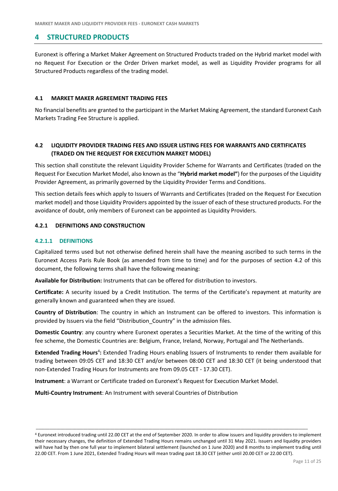## <span id="page-10-0"></span>**4 STRUCTURED PRODUCTS**

Euronext is offering a Market Maker Agreement on Structured Products traded on the Hybrid market model with no Request For Execution or the Order Driven market model, as well as Liquidity Provider programs for all Structured Products regardless of the trading model.

#### <span id="page-10-1"></span>**4.1 MARKET MAKER AGREEMENT TRADING FEES**

No financial benefits are granted to the participant in the Market Making Agreement, the standard Euronext Cash Markets Trading Fee Structure is applied.

### <span id="page-10-2"></span>**4.2 LIQUIDITY PROVIDER TRADING FEES AND ISSUER LISTING FEES FOR WARRANTS AND CERTIFICATES (TRADED ON THE REQUEST FOR EXECUTION MARKET MODEL)**

This section shall constitute the relevant Liquidity Provider Scheme for Warrants and Certificates (traded on the Request For Execution Market Model, also known as the "**Hybrid market model"**) for the purposes of the Liquidity Provider Agreement, as primarily governed by the Liquidity Provider Terms and Conditions.

This section details fees which apply to Issuers of Warrants and Certificates (traded on the Request For Execution market model) and those Liquidity Providers appointed by the issuer of each of these structured products. For the avoidance of doubt, only members of Euronext can be appointed as Liquidity Providers.

#### **4.2.1 DEFINITIONS AND CONSTRUCTION**

#### **4.2.1.1 DEFINITIONS**

Capitalized terms used but not otherwise defined herein shall have the meaning ascribed to such terms in the Euronext Access Paris Rule Book (as amended from time to time) and for the purposes of section 4.2 of this document, the following terms shall have the following meaning:

**Available for Distribution:** Instruments that can be offered for distribution to investors.

**Certificate:** A security issued by a Credit Institution. The terms of the Certificate's repayment at maturity are generally known and guaranteed when they are issued.

**Country of Distribution**: The country in which an Instrument can be offered to investors. This information is provided by Issuers via the field "Distribution\_Country" in the admission files.

**Domestic Country**: any country where Euronext operates a Securities Market. At the time of the writing of this fee scheme, the Domestic Countries are: Belgium, France, Ireland, Norway, Portugal and The Netherlands.

Extended Trading Hours<sup>4</sup>: Extended Trading Hours enabling Issuers of Instruments to render them available for trading between 09:05 CET and 18:30 CET and/or between 08:00 CET and 18:30 CET (it being understood that non-Extended Trading Hours for Instruments are from 09.05 CET - 17.30 CET).

**Instrument**: a Warrant or Certificate traded on Euronext's Request for Execution Market Model.

**Multi-Country Instrument**: An Instrument with several Countries of Distribution

<sup>4</sup> Euronext introduced trading until 22.00 CET at the end of September 2020. In order to allow issuers and liquidity providers to implement their necessary changes, the definition of Extended Trading Hours remains unchanged until 31 May 2021. Issuers and liquidity providers will have had by then one full year to implement bilateral settlement (launched on 1 June 2020) and 8 months to implement trading until 22.00 CET. From 1 June 2021, Extended Trading Hours will mean trading past 18.30 CET (either until 20.00 CET or 22.00 CET).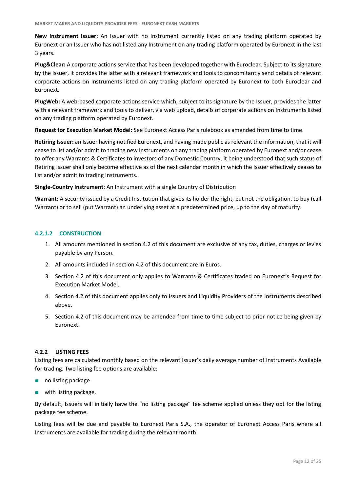**New Instrument Issuer:** An Issuer with no Instrument currently listed on any trading platform operated by Euronext or an Issuer who has not listed any Instrument on any trading platform operated by Euronext in the last 3 years.

**Plug&Clear:** A corporate actions service that has been developed together with Euroclear. Subject to its signature by the Issuer, it provides the latter with a relevant framework and tools to concomitantly send details of relevant corporate actions on Instruments listed on any trading platform operated by Euronext to both Euroclear and Euronext.

**PlugWeb:** A web-based corporate actions service which, subject to its signature by the Issuer, provides the latter with a relevant framework and tools to deliver, via web upload, details of corporate actions on Instruments listed on any trading platform operated by Euronext.

**Request for Execution Market Model:** See Euronext Access Paris rulebook as amended from time to time.

**Retiring Issuer:** an Issuer having notified Euronext, and having made public as relevant the information, that it will cease to list and/or admit to trading new Instruments on any trading platform operated by Euronext and/or cease to offer any Warrants & Certificates to investors of any Domestic Country, it being understood that such status of Retiring Issuer shall only become effective as of the next calendar month in which the Issuer effectively ceases to list and/or admit to trading Instruments.

**Single-Country Instrument**: An Instrument with a single Country of Distribution

**Warrant:** A security issued by a Credit Institution that gives its holder the right, but not the obligation, to buy (call Warrant) or to sell (put Warrant) an underlying asset at a predetermined price, up to the day of maturity.

#### **4.2.1.2 CONSTRUCTION**

- 1. All amounts mentioned in section 4.2 of this document are exclusive of any tax, duties, charges or levies payable by any Person.
- 2. All amounts included in section 4.2 of this document are in Euros.
- 3. Section 4.2 of this document only applies to Warrants & Certificates traded on Euronext's Request for Execution Market Model.
- 4. Section 4.2 of this document applies only to Issuers and Liquidity Providers of the Instruments described above.
- 5. Section 4.2 of this document may be amended from time to time subject to prior notice being given by Euronext.

#### **4.2.2 LISTING FEES**

Listing fees are calculated monthly based on the relevant Issuer's daily average number of Instruments Available for trading. Two listing fee options are available:

- no listing package
- with listing package.

By default, Issuers will initially have the "no listing package" fee scheme applied unless they opt for the listing package fee scheme.

Listing fees will be due and payable to Euronext Paris S.A., the operator of Euronext Access Paris where all Instruments are available for trading during the relevant month.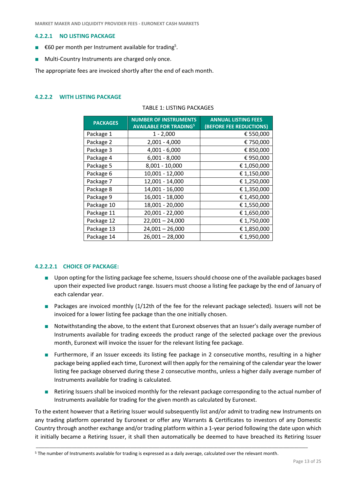#### **4.2.2.1 NO LISTING PACKAGE**

- $\epsilon$ 60 per month per Instrument available for trading<sup>5</sup>.
- Multi-Country Instruments are charged only once.

The appropriate fees are invoiced shortly after the end of each month.

#### **4.2.2.2 WITH LISTING PACKAGE**

| <b>PACKAGES</b> | <b>NUMBER OF INSTRUMENTS</b><br><b>AVAILABLE FOR TRADING<sup>5</sup></b> | <b>ANNUAL LISTING FEES</b><br>(BEFORE FEE REDUCTIONS) |
|-----------------|--------------------------------------------------------------------------|-------------------------------------------------------|
| Package 1       | $1 - 2,000$                                                              | € 550,000                                             |
| Package 2       | $2,001 - 4,000$                                                          | € 750,000                                             |
| Package 3       | $4,001 - 6,000$                                                          | € 850,000                                             |
| Package 4       | $6,001 - 8,000$                                                          | €950,000                                              |
| Package 5       | 8,001 - 10,000                                                           | € 1,050,000                                           |
| Package 6       | 10,001 - 12,000                                                          | € 1,150,000                                           |
| Package 7       | 12,001 - 14,000                                                          | € 1,250,000                                           |
| Package 8       | 14,001 - 16,000                                                          | € 1,350,000                                           |
| Package 9       | 16,001 - 18,000                                                          | € 1,450,000                                           |
| Package 10      | 18,001 - 20,000                                                          | € 1,550,000                                           |
| Package 11      | 20,001 - 22,000                                                          | € 1,650,000                                           |
| Package 12      | $22,001 - 24,000$                                                        | € 1,750,000                                           |
| Package 13      | $24,001 - 26,000$                                                        | € 1,850,000                                           |
| Package 14      | $26,001 - 28,000$                                                        | € 1,950,000                                           |

<span id="page-12-0"></span>TABLE 1: LISTING PACKAGES

#### **4.2.2.2.1 CHOICE OF PACKAGE:**

- Upon opting for the listing package fee scheme, Issuers should choose one of the available packages based upon their expected live product range. Issuers must choose a listing fee package by the end of January of each calendar year.
- Packages are invoiced monthly (1/12th of the fee for the relevant package selected). Issuers will not be invoiced for a lower listing fee package than the one initially chosen.
- Notwithstanding the above, to the extent that Euronext observes that an Issuer's daily average number of Instruments available for trading exceeds the product range of the selected package over the previous month, Euronext will invoice the issuer for the relevant listing fee package.
- Furthermore, if an Issuer exceeds its listing fee package in 2 consecutive months, resulting in a higher package being applied each time, Euronext will then apply for the remaining of the calendar year the lower listing fee package observed during these 2 consecutive months, unless a higher daily average number of Instruments available for trading is calculated.
- Retiring Issuers shall be invoiced monthly for the relevant package corresponding to the actual number of Instruments available for trading for the given month as calculated by Euronext.

To the extent however that a Retiring Issuer would subsequently list and/or admit to trading new Instruments on any trading platform operated by Euronext or offer any Warrants & Certificates to investors of any Domestic Country through another exchange and/or trading platform within a 1-year period following the date upon which it initially became a Retiring Issuer, it shall then automatically be deemed to have breached its Retiring Issuer

<sup>5</sup> The number of Instruments available for trading is expressed as a daily average, calculated over the relevant month.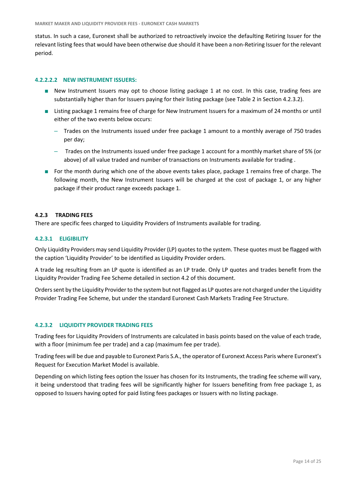status. In such a case, Euronext shall be authorized to retroactively invoice the defaulting Retiring Issuer for the relevant listing fees that would have been otherwise due should it have been a non-Retiring Issuer for the relevant period.

#### **4.2.2.2.2 NEW INSTRUMENT ISSUERS:**

- New Instrument Issuers may opt to choose listing package 1 at no cost. In this case, trading fees are substantially higher than for Issuers paying for their listing package (see Table 2 in Section 4.2.3.2).
- Listing package 1 remains free of charge for New Instrument Issuers for a maximum of 24 months or until either of the two events below occurs:
	- Trades on the Instruments issued under free package 1 amount to a monthly average of 750 trades per day;
	- Trades on the Instruments issued under free package 1 account for a monthly market share of 5% (or above) of all value traded and number of transactions on Instruments available for trading .
- For the month during which one of the above events takes place, package 1 remains free of charge. The following month, the New Instrument Issuers will be charged at the cost of package 1, or any higher package if their product range exceeds package 1.

#### **4.2.3 TRADING FEES**

There are specific fees charged to Liquidity Providers of Instruments available for trading.

#### **4.2.3.1 ELIGIBILITY**

Only Liquidity Providers may send Liquidity Provider (LP) quotes to the system. These quotes must be flagged with the caption 'Liquidity Provider' to be identified as Liquidity Provider orders.

A trade leg resulting from an LP quote is identified as an LP trade. Only LP quotes and trades benefit from the Liquidity Provider Trading Fee Scheme detailed in section 4.2 of this document.

Orders sent by the Liquidity Provider to the system but not flagged as LP quotes are not charged under the Liquidity Provider Trading Fee Scheme, but under the standard Euronext Cash Markets Trading Fee Structure.

#### **4.2.3.2 LIQUIDITY PROVIDER TRADING FEES**

Trading fees for Liquidity Providers of Instruments are calculated in basis points based on the value of each trade, with a floor (minimum fee per trade) and a cap (maximum fee per trade).

Trading fees will be due and payable to Euronext Paris S.A., the operator of Euronext Access Paris where Euronext's Request for Execution Market Model is available.

Depending on which listing fees option the Issuer has chosen for its Instruments, the trading fee scheme will vary, it being understood that trading fees will be significantly higher for Issuers benefiting from free package 1, as opposed to Issuers having opted for paid listing fees packages or Issuers with no listing package.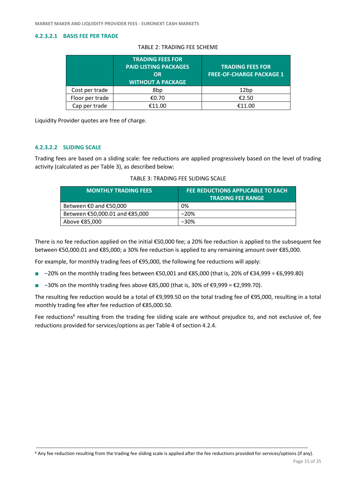#### **4.2.3.2.1 BASIS FEE PER TRADE**

|                 | <b>TRADING FEES FOR</b><br><b>PAID LISTING PACKAGES</b><br>OR<br><b>WITHOUT A PACKAGE</b> | <b>TRADING FEES FOR</b><br><b>FREE-OF-CHARGE PACKAGE 1</b> |
|-----------------|-------------------------------------------------------------------------------------------|------------------------------------------------------------|
| Cost per trade  | 8bp                                                                                       | 12 <sub>bp</sub>                                           |
| Floor per trade | €0.70                                                                                     | €2.50                                                      |
| Cap per trade   | €11.00                                                                                    | €11.00                                                     |

Liquidity Provider quotes are free of charge.

#### **4.2.3.2.2 SLIDING SCALE**

Trading fees are based on a sliding scale: fee reductions are applied progressively based on the level of trading activity (calculated as per Table 3), as described below:

|  | TABLE 3: TRADING FEE SLIDING SCALE |
|--|------------------------------------|
|--|------------------------------------|

| <b>MONTHLY TRADING FEES</b>                | FEE REDUCTIONS APPLICABLE TO EACH<br><b>TRADING FEE RANGE</b> |
|--------------------------------------------|---------------------------------------------------------------|
| Between $\epsilon$ 0 and $\epsilon$ 50,000 | 0%                                                            |
| Between €50,000.01 and €85,000             | $-20%$                                                        |
| Above €85,000                              | $-30%$                                                        |

There is no fee reduction applied on the initial €50,000 fee; a 20% fee reduction is applied to the subsequent fee between €50,000.01 and €85,000; a 30% fee reduction is applied to any remaining amount over €85,000.

For example, for monthly trading fees of €95,000, the following fee reductions will apply:

- −20% on the monthly trading fees between €50,001 and €85,000 (that is, 20% of €34,999 = €6,999.80)
- −30% on the monthly trading fees above €85,000 (that is, 30% of €9,999 = €2,999.70).

The resulting fee reduction would be a total of €9,999.50 on the total trading fee of €95,000, resulting in a total monthly trading fee after fee reduction of €85,000.50.

Fee reductions<sup>6</sup> resulting from the trading fee sliding scale are without prejudice to, and not exclusive of, fee reductions provided for services/options as per Table 4 of section 4.2.4.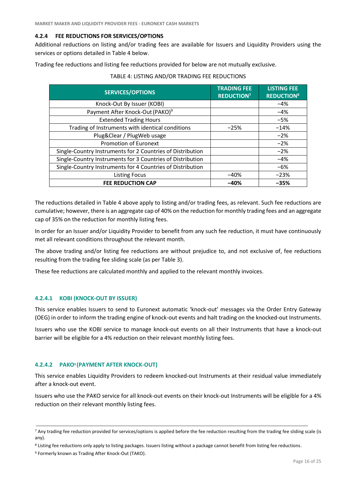#### **4.2.4 FEE REDUCTIONS FOR SERVICES/OPTIONS**

Additional reductions on listing and/or trading fees are available for Issuers and Liquidity Providers using the services or options detailed in Table 4 below.

Trading fee reductions and listing fee reductions provided for below are not mutually exclusive.

| <b>SERVICES/OPTIONS</b>                                    | <b>TRADING FEE</b><br><b>REDUCTION<sup>7</sup></b> | <b>LISTING FEE</b><br><b>REDUCTION<sup>8</sup></b> |
|------------------------------------------------------------|----------------------------------------------------|----------------------------------------------------|
| Knock-Out By Issuer (KOBI)                                 |                                                    | $-4%$                                              |
| Payment After Knock-Out (PAKO) <sup>9</sup>                |                                                    | $-4%$                                              |
| <b>Extended Trading Hours</b>                              |                                                    | $-5%$                                              |
| Trading of Instruments with identical conditions           | $-25%$                                             | $-14%$                                             |
| Plug&Clear / PlugWeb usage                                 |                                                    | $-2%$                                              |
| <b>Promotion of Euronext</b>                               |                                                    | $-2%$                                              |
| Single-Country Instruments for 2 Countries of Distribution |                                                    | $-2%$                                              |
| Single-Country Instruments for 3 Countries of Distribution |                                                    | $-4%$                                              |
| Single-Country Instruments for 4 Countries of Distribution |                                                    | $-6%$                                              |
| <b>Listing Focus</b>                                       | $-40%$                                             | $-23%$                                             |
| <b>FEE REDUCTION CAP</b>                                   | $-40%$                                             | $-35%$                                             |

#### <span id="page-15-0"></span>TABLE 4: LISTING AND/OR TRADING FEE REDUCTIONS

The reductions detailed in Table 4 above apply to listing and/or trading fees, as relevant. Such fee reductions are cumulative; however, there is an aggregate cap of 40% on the reduction for monthly trading fees and an aggregate cap of 35% on the reduction for monthly listing fees.

In order for an Issuer and/or Liquidity Provider to benefit from any such fee reduction, it must have continuously met all relevant conditions throughout the relevant month.

The above trading and/or listing fee reductions are without prejudice to, and not exclusive of, fee reductions resulting from the trading fee sliding scale (as per Table 3).

These fee reductions are calculated monthly and applied to the relevant monthly invoices.

#### **4.2.4.1 KOBI (KNOCK-OUT BY ISSUER)**

This service enables Issuers to send to Euronext automatic 'knock-out' messages via the Order Entry Gateway (OEG) in order to inform the trading engine of knock-out events and halt trading on the knocked-out Instruments.

Issuers who use the KOBI service to manage knock-out events on all their Instruments that have a knock-out barrier will be eligible for a 4% reduction on their relevant monthly listing fees.

#### **4.2.4.2 PAK[O](#page-15-0)<sup>9</sup> (PAYMENT AFTER KNOCK-OUT)**

This service enables Liquidity Providers to redeem knocked-out Instruments at their residual value immediately after a knock-out event.

Issuers who use the PAKO service for all knock-out events on their knock-out Instruments will be eligible for a 4% reduction on their relevant monthly listing fees.

<sup>&</sup>lt;sup>7</sup> Any trading fee reduction provided for services/options is applied before the fee reduction resulting from the trading fee sliding scale (is any).

<sup>8</sup> Listing fee reductions only apply to listing packages. Issuers listing without a package cannot benefit from listing fee reductions.

<sup>&</sup>lt;sup>9</sup> Formerly known as Trading After Knock-Out (TAKO).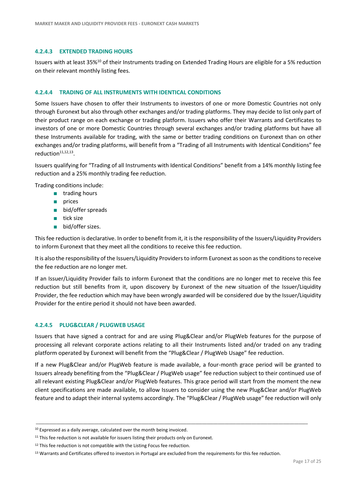#### **4.2.4.3 EXTENDED TRADING HOURS**

Issuers with at least 35%<sup>10</sup> of their Instruments trading on Extended Trading Hours are eligible for a 5% reduction on their relevant monthly listing fees.

#### **4.2.4.4 TRADING OF ALL INSTRUMENTS WITH IDENTICAL CONDITIONS**

Some Issuers have chosen to offer their Instruments to investors of one or more Domestic Countries not only through Euronext but also through other exchanges and/or trading platforms. They may decide to list only part of their product range on each exchange or trading platform. Issuers who offer their Warrants and Certificates to investors of one or more Domestic Countries through several exchanges and/or trading platforms but have all these Instruments available for trading, with the same or better trading conditions on Euronext than on other exchanges and/or trading platforms, will benefit from a "Trading of all Instruments with Identical Conditions" fee reduction<sup>11,12,13</sup>.

Issuers qualifying for "Trading of all Instruments with Identical Conditions" benefit from a 14% monthly listing fee reduction and a 25% monthly trading fee reduction.

Trading conditions include:

- trading hours
- prices
- bid/offer spreads
- tick size
- bid/offer sizes.

This fee reduction is declarative. In order to benefit from it, it is the responsibility of the Issuers/Liquidity Providers to inform Euronext that they meet all the conditions to receive this fee reduction.

It is also the responsibility of the Issuers/Liquidity Providers to inform Euronext as soon as the conditions to receive the fee reduction are no longer met.

If an Issuer/Liquidity Provider fails to inform Euronext that the conditions are no longer met to receive this fee reduction but still benefits from it, upon discovery by Euronext of the new situation of the Issuer/Liquidity Provider, the fee reduction which may have been wrongly awarded will be considered due by the Issuer/Liquidity Provider for the entire period it should not have been awarded.

#### **4.2.4.5 PLUG&CLEAR / PLUGWEB USAGE**

Issuers that have signed a contract for and are using Plug&Clear and/or PlugWeb features for the purpose of processing all relevant corporate actions relating to all their Instruments listed and/or traded on any trading platform operated by Euronext will benefit from the "Plug&Clear / PlugWeb Usage" fee reduction.

If a new Plug&Clear and/or PlugWeb feature is made available, a four-month grace period will be granted to Issuers already benefiting from the "Plug&Clear / PlugWeb usage" fee reduction subject to their continued use of all relevant existing Plug&Clear and/or PlugWeb features. This grace period will start from the moment the new client specifications are made available, to allow Issuers to consider using the new Plug&Clear and/or PlugWeb feature and to adapt their internal systems accordingly. The "Plug&Clear / PlugWeb usage" fee reduction will only

<sup>&</sup>lt;sup>10</sup> Expressed as a daily average, calculated over the month being invoiced.

<sup>&</sup>lt;sup>11</sup> This fee reduction is not available for issuers listing their products only on Euronext.

<sup>&</sup>lt;sup>12</sup> This fee reduction is not compatible with the Listing Focus fee reduction.

<sup>&</sup>lt;sup>13</sup> Warrants and Certificates offered to investors in Portugal are excluded from the requirements for this fee reduction.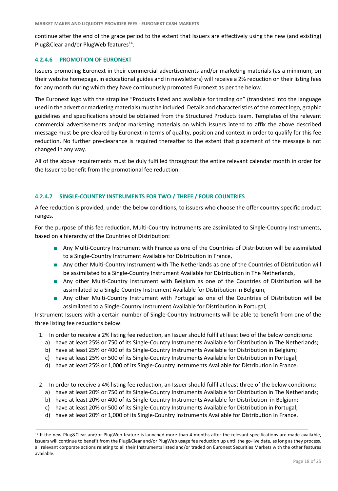continue after the end of the grace period to the extent that Issuers are effectively using the new (and existing) Plug&Clear and/or PlugWeb features<sup>14</sup>.

#### **4.2.4.6 PROMOTION OF EURONEXT**

Issuers promoting Euronext in their commercial advertisements and/or marketing materials (as a minimum, on their website homepage, in educational guides and in newsletters) will receive a 2% reduction on their listing fees for any month during which they have continuously promoted Euronext as per the below.

The Euronext logo with the strapline "Products listed and available for trading on" (translated into the language used in the advert or marketing materials) must be included. Details and characteristics of the correct logo, graphic guidelines and specifications should be obtained from the Structured Products team. Templates of the relevant commercial advertisements and/or marketing materials on which Issuers intend to affix the above described message must be pre-cleared by Euronext in terms of quality, position and context in order to qualify for this fee reduction. No further pre-clearance is required thereafter to the extent that placement of the message is not changed in any way.

All of the above requirements must be duly fulfilled throughout the entire relevant calendar month in order for the Issuer to benefit from the promotional fee reduction.

#### **4.2.4.7 SINGLE-COUNTRY INSTRUMENTS FOR TWO / THREE / FOUR COUNTRIES**

A fee reduction is provided, under the below conditions, to issuers who choose the offer country specific product ranges.

For the purpose of this fee reduction, Multi-Country Instruments are assimilated to Single-Country Instruments, based on a hierarchy of the Countries of Distribution:

- Any Multi-Country Instrument with France as one of the Countries of Distribution will be assimilated to a Single-Country Instrument Available for Distribution in France,
- Any other Multi-Country Instrument with The Netherlands as one of the Countries of Distribution will be assimilated to a Single-Country Instrument Available for Distribution in The Netherlands,
- Any other Multi-Country Instrument with Belgium as one of the Countries of Distribution will be assimilated to a Single-Country Instrument Available for Distribution in Belgium,
- Any other Multi-Country Instrument with Portugal as one of the Countries of Distribution will be assimilated to a Single-Country Instrument Available for Distribution in Portugal,

Instrument Issuers with a certain number of Single-Country Instruments will be able to benefit from one of the three listing fee reductions below:

- 1. In order to receive a 2% listing fee reduction, an Issuer should fulfil at least two of the below conditions:
	- a) have at least 25% or 750 of its Single-Country Instruments Available for Distribution in The Netherlands;
	- b) have at least 25% or 400 of its Single-Country Instruments Available for Distribution in Belgium;
	- c) have at least 25% or 500 of its Single-Country Instruments Available for Distribution in Portugal;
	- d) have at least 25% or 1,000 of its Single-Country Instruments Available for Distribution in France.
- 2. In order to receive a 4% listing fee reduction, an Issuer should fulfil at least three of the below conditions:
	- a) have at least 20% or 750 of its Single-Country Instruments Available for Distribution in The Netherlands;
	- b) have at least 20% or 400 of its Single-Country Instruments Available for Distribution in Belgium;
	- c) have at least 20% or 500 of its Single-Country Instruments Available for Distribution in Portugal;
	- d) have at least 20% or 1,000 of its Single-Country Instruments Available for Distribution in France.

<sup>14</sup> If the new Plug&Clear and/or PlugWeb feature is launched more than 4 months after the relevant specifications are made available, Issuers will continue to benefit from the Plug&Clear and/or PlugWeb usage fee reduction up until the go-live date, as long as they process. all relevant corporate actions relating to all their Instruments listed and/or traded on Euronext Securities Markets with the other features available.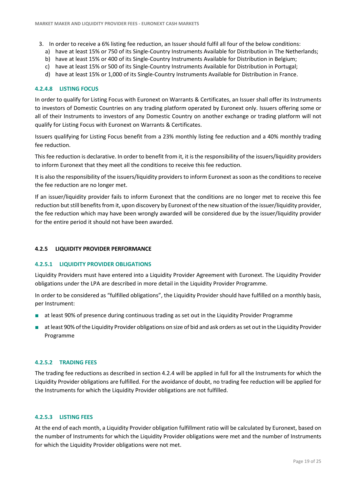- 3. In order to receive a 6% listing fee reduction, an Issuer should fulfil all four of the below conditions:
	- a) have at least 15% or 750 of its Single-Country Instruments Available for Distribution in The Netherlands;
	- b) have at least 15% or 400 of its Single-Country Instruments Available for Distribution in Belgium;
	- c) have at least 15% or 500 of its Single-Country Instruments Available for Distribution in Portugal;
	- d) have at least 15% or 1,000 of its Single-Country Instruments Available for Distribution in France.

#### **4.2.4.8 LISTING FOCUS**

In order to qualify for Listing Focus with Euronext on Warrants & Certificates, an Issuer shall offer its Instruments to investors of Domestic Countries on any trading platform operated by Euronext only. Issuers offering some or all of their Instruments to investors of any Domestic Country on another exchange or trading platform will not qualify for Listing Focus with Euronext on Warrants & Certificates.

Issuers qualifying for Listing Focus benefit from a 23% monthly listing fee reduction and a 40% monthly trading fee reduction.

This fee reduction is declarative. In order to benefit from it, it is the responsibility of the issuers/liquidity providers to inform Euronext that they meet all the conditions to receive this fee reduction.

It is also the responsibility of the issuers/liquidity providers to inform Euronext as soon as the conditions to receive the fee reduction are no longer met.

If an issuer/liquidity provider fails to inform Euronext that the conditions are no longer met to receive this fee reduction but still benefits from it, upon discovery by Euronext of the new situation of the issuer/liquidity provider, the fee reduction which may have been wrongly awarded will be considered due by the issuer/liquidity provider for the entire period it should not have been awarded.

#### **4.2.5 LIQUIDITY PROVIDER PERFORMANCE**

#### **4.2.5.1 LIQUIDITY PROVIDER OBLIGATIONS**

Liquidity Providers must have entered into a Liquidity Provider Agreement with Euronext. The Liquidity Provider obligations under the LPA are described in more detail in the Liquidity Provider Programme.

In order to be considered as "fulfilled obligations", the Liquidity Provider should have fulfilled on a monthly basis, per Instrument:

- at least 90% of presence during continuous trading as set out in the Liquidity Provider Programme
- at least 90% of the Liquidity Provider obligations on size of bid and ask orders as set out in the Liquidity Provider Programme

#### **4.2.5.2 TRADING FEES**

The trading fee reductions as described in section 4.2.4 will be applied in full for all the Instruments for which the Liquidity Provider obligations are fulfilled. For the avoidance of doubt, no trading fee reduction will be applied for the Instruments for which the Liquidity Provider obligations are not fulfilled.

#### **4.2.5.3 LISTING FEES**

At the end of each month, a Liquidity Provider obligation fulfillment ratio will be calculated by Euronext, based on the number of Instruments for which the Liquidity Provider obligations were met and the number of Instruments for which the Liquidity Provider obligations were not met.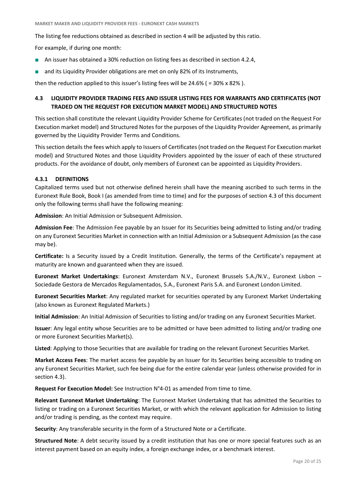The listing fee reductions obtained as described in section 4 will be adjusted by this ratio.

For example, if during one month:

- An issuer has obtained a 30% reduction on listing fees as described in section 4.2.4,
- and its Liquidity Provider obligations are met on only 82% of its Instruments,

then the reduction applied to this issuer's listing fees will be 24.6% ( = 30% x 82% ).

### <span id="page-19-0"></span>**4.3 LIQUIDITY PROVIDER TRADING FEES AND ISSUER LISTING FEES FOR WARRANTS AND CERTIFICATES (NOT TRADED ON THE REQUEST FOR EXECUTION MARKET MODEL) AND STRUCTURED NOTES**

This section shall constitute the relevant Liquidity Provider Scheme for Certificates (not traded on the Request For Execution market model) and Structured Notes for the purposes of the Liquidity Provider Agreement, as primarily governed by the Liquidity Provider Terms and Conditions.

This section details the fees which apply to Issuers of Certificates (not traded on the Request For Execution market model) and Structured Notes and those Liquidity Providers appointed by the issuer of each of these structured products. For the avoidance of doubt, only members of Euronext can be appointed as Liquidity Providers.

#### **4.3.1 DEFINITIONS**

Capitalized terms used but not otherwise defined herein shall have the meaning ascribed to such terms in the Euronext Rule Book, Book I (as amended from time to time) and for the purposes of section 4.3 of this document only the following terms shall have the following meaning:

**Admission**: An Initial Admission or Subsequent Admission.

**Admission Fee**: The Admission Fee payable by an Issuer for its Securities being admitted to listing and/or trading on any Euronext Securities Market in connection with an Initial Admission or a Subsequent Admission (as the case may be).

**Certificate:** Is a Security issued by a Credit Institution. Generally, the terms of the Certificate's repayment at maturity are known and guaranteed when they are issued.

**Euronext Market Undertakings**: Euronext Amsterdam N.V., Euronext Brussels S.A./N.V., Euronext Lisbon – Sociedade Gestora de Mercados Regulamentados, S.A., Euronext Paris S.A. and Euronext London Limited.

**Euronext Securities Market**: Any regulated market for securities operated by any Euronext Market Undertaking (also known as Euronext Regulated Markets.)

**Initial Admission**: An Initial Admission of Securities to listing and/or trading on any Euronext Securities Market.

**Issuer**: Any legal entity whose Securities are to be admitted or have been admitted to listing and/or trading one or more Euronext Securities Market(s).

**Listed**: Applying to those Securities that are available for trading on the relevant Euronext Securities Market.

**Market Access Fees**: The market access fee payable by an Issuer for its Securities being accessible to trading on any Euronext Securities Market, such fee being due for the entire calendar year (unless otherwise provided for in section 4.3).

**Request For Execution Model:** See Instruction N°4-01 as amended from time to time.

**Relevant Euronext Market Undertaking**: The Euronext Market Undertaking that has admitted the Securities to listing or trading on a Euronext Securities Market, or with which the relevant application for Admission to listing and/or trading is pending, as the context may require.

**Security**: Any transferable security in the form of a Structured Note or a Certificate.

**Structured Note**: A debt security issued by a credit institution that has one or more special features such as an interest payment based on an equity index, a foreign exchange index, or a benchmark interest.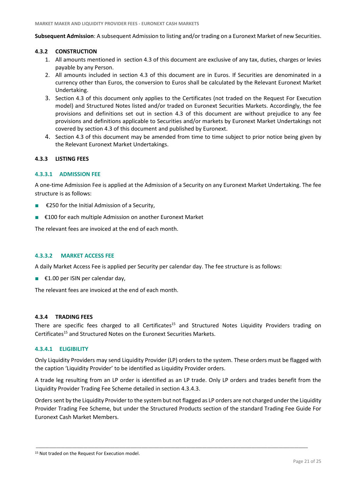**Subsequent Admission**: A subsequent Admission to listing and/or trading on a Euronext Market of new Securities.

#### **4.3.2 CONSTRUCTION**

- 1. All amounts mentioned in section 4.3 of this document are exclusive of any tax, duties, charges or levies payable by any Person.
- 2. All amounts included in section 4.3 of this document are in Euros. If Securities are denominated in a currency other than Euros, the conversion to Euros shall be calculated by the Relevant Euronext Market Undertaking.
- 3. Section 4.3 of this document only applies to the Certificates (not traded on the Request For Execution model) and Structured Notes listed and/or traded on Euronext Securities Markets. Accordingly, the fee provisions and definitions set out in section 4.3 of this document are without prejudice to any fee provisions and definitions applicable to Securities and/or markets by Euronext Market Undertakings not covered by section 4.3 of this document and published by Euronext.
- 4. Section 4.3 of this document may be amended from time to time subject to prior notice being given by the Relevant Euronext Market Undertakings.

#### **4.3.3 LISTING FEES**

#### **4.3.3.1 ADMISSION FEE**

A one-time Admission Fee is applied at the Admission of a Security on any Euronext Market Undertaking. The fee structure is as follows:

- €250 for the Initial Admission of a Security,
- €100 for each multiple Admission on another Euronext Market

The relevant fees are invoiced at the end of each month.

#### **4.3.3.2 MARKET ACCESS FEE**

A daily Market Access Fee is applied per Security per calendar day. The fee structure is as follows:

■ €1.00 per ISIN per calendar day,

The relevant fees are invoiced at the end of each month.

#### **4.3.4 TRADING FEES**

<span id="page-20-0"></span>There are specific fees charged to all Certificates<sup>15</sup> and Structured Notes Liquidity Providers trading on Certificates<sup>[15](#page-20-0)</sup> and Structured Notes on the Euronext Securities Markets.

#### **4.3.4.1 ELIGIBILITY**

Only Liquidity Providers may send Liquidity Provider (LP) orders to the system. These orders must be flagged with the caption 'Liquidity Provider' to be identified as Liquidity Provider orders.

A trade leg resulting from an LP order is identified as an LP trade. Only LP orders and trades benefit from the Liquidity Provider Trading Fee Scheme detailed in section 4.3.4.3.

Orders sent by the Liquidity Provider to the system but not flagged as LP orders are not charged under the Liquidity Provider Trading Fee Scheme, but under the Structured Products section of the standard Trading Fee Guide For Euronext Cash Market Members.

<sup>&</sup>lt;sup>15</sup> Not traded on the Request For Execution model.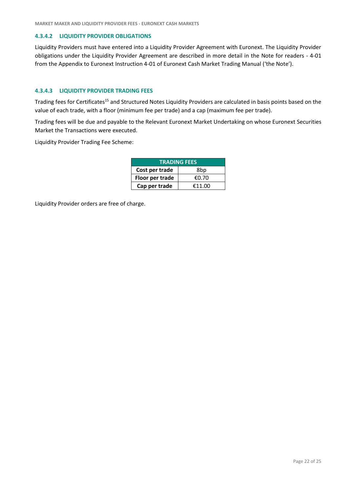#### **4.3.4.2 LIQUIDITY PROVIDER OBLIGATIONS**

Liquidity Providers must have entered into a Liquidity Provider Agreement with Euronext. The Liquidity Provider obligations under the Liquidity Provider Agreement are described in more detail in the Note for readers - 4-01 from the Appendix to Euronext Instruction 4-01 of Euronext Cash Market Trading Manual ('the Note').

#### **4.3.4.3 LIQUIDITY PROVIDER TRADING FEES**

Trading fees for Certificates<sup>[15](#page-20-0)</sup> and Structured Notes Liquidity Providers are calculated in basis points based on the value of each trade, with a floor (minimum fee per trade) and a cap (maximum fee per trade).

Trading fees will be due and payable to the Relevant Euronext Market Undertaking on whose Euronext Securities Market the Transactions were executed.

Liquidity Provider Trading Fee Scheme:

| <b>TRADING FEES</b> |        |
|---------------------|--------|
| Cost per trade      | 8bp    |
| Floor per trade     | €0.70  |
| Cap per trade       | €11.00 |

Liquidity Provider orders are free of charge.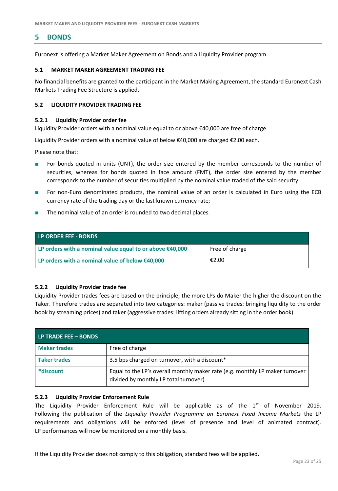### <span id="page-22-0"></span>**5 BONDS**

Euronext is offering a Market Maker Agreement on Bonds and a Liquidity Provider program.

#### <span id="page-22-1"></span>**5.1 MARKET MAKER AGREEMENT TRADING FEE**

No financial benefits are granted to the participant in the Market Making Agreement, the standard Euronext Cash Markets Trading Fee Structure is applied.

#### <span id="page-22-2"></span>**5.2 LIQUIDITY PROVIDER TRADING FEE**

#### **5.2.1 Liquidity Provider order fee**

Liquidity Provider orders with a nominal value equal to or above €40,000 are free of charge.

Liquidity Provider orders with a nominal value of below €40,000 are charged €2.00 each.

Please note that:

- For bonds quoted in units (UNT), the order size entered by the member corresponds to the number of securities, whereas for bonds quoted in face amount (FMT), the order size entered by the member corresponds to the number of securities multiplied by the nominal value traded of the said security.
- For non-Euro denominated products, the nominal value of an order is calculated in Euro using the ECB currency rate of the trading day or the last known currency rate;
- The nominal value of an order is rounded to two decimal places.

| LP ORDER FEE - BONDS                                       |                |
|------------------------------------------------------------|----------------|
| LP orders with a nominal value equal to or above $£40,000$ | Free of charge |
| LP orders with a nominal value of below $£40,000$          | €2.00          |

#### **5.2.2 Liquidity Provider trade fee**

Liquidity Provider trades fees are based on the principle; the more LPs do Maker the higher the discount on the Taker. Therefore trades are separated into two categories: maker (passive trades: bringing liquidity to the order book by streaming prices) and taker (aggressive trades: lifting orders already sitting in the order book).

| LP TRADE FEE - BONDS |                                                                                                                       |
|----------------------|-----------------------------------------------------------------------------------------------------------------------|
| <b>Maker trades</b>  | Free of charge                                                                                                        |
| <b>Taker trades</b>  | 3.5 bps charged on turnover, with a discount*                                                                         |
| *discount            | Equal to the LP's overall monthly maker rate (e.g. monthly LP maker turnover<br>divided by monthly LP total turnover) |

#### **5.2.3 Liquidity Provider Enforcement Rule**

The Liquidity Provider Enforcement Rule will be applicable as of the  $1<sup>st</sup>$  of November 2019. Following the publication of the *Liquidity Provider Programme on Euronext Fixed Income Markets* the LP requirements and obligations will be enforced (level of presence and level of animated contract). LP performances will now be monitored on a monthly basis.

If the Liquidity Provider does not comply to this obligation, standard fees will be applied.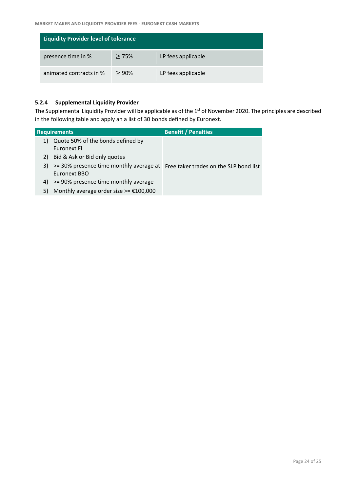| <b>Liquidity Provider level of tolerance</b> |      |                    |
|----------------------------------------------|------|--------------------|
| presence time in %                           | >75% | LP fees applicable |
| animated contracts in %                      | >90% | LP fees applicable |

### **5.2.4 Supplemental Liquidity Provider**

The Supplemental Liquidity Provider will be applicable as of the 1<sup>st</sup> of November 2020. The principles are described in the following table and apply an a list of 30 bonds defined by Euronext.

|    | <b>Requirements</b>                                                            | <b>Benefit / Penalties</b> |
|----|--------------------------------------------------------------------------------|----------------------------|
| 1) | Quote 50% of the bonds defined by                                              |                            |
|    | Euronext FI                                                                    |                            |
| 2) | Bid & Ask or Bid only quotes                                                   |                            |
| 3) | >= 30% presence time monthly average at Free taker trades on the SLP bond list |                            |
|    | Euronext BBO                                                                   |                            |
| 4) | >= 90% presence time monthly average                                           |                            |
| 5) | Monthly average order size >= $£100,000$                                       |                            |